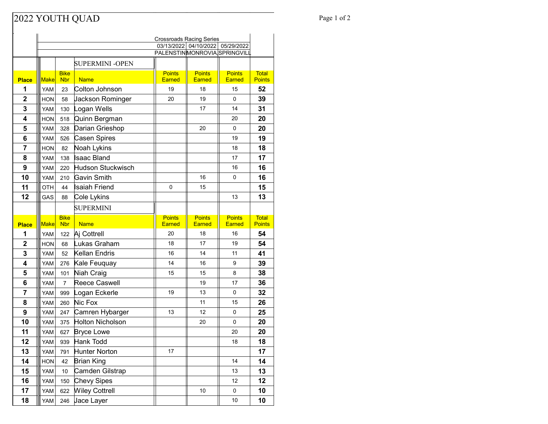## Page 1 of 2

|                | <b>Crossroads Racing Series</b>                                     |                           |                        |                                |                                |                         |                               |  |
|----------------|---------------------------------------------------------------------|---------------------------|------------------------|--------------------------------|--------------------------------|-------------------------|-------------------------------|--|
|                | 03/13/2022 04/10/2022<br>05/29/2022<br>PALENSTINMONROVIA SPRINGVILL |                           |                        |                                |                                |                         |                               |  |
|                |                                                                     |                           |                        |                                |                                |                         |                               |  |
|                |                                                                     |                           | <b>SUPERMINI -OPEN</b> |                                |                                |                         |                               |  |
| <b>Place</b>   | <b>Make</b>                                                         | <b>Bike</b><br><b>Nbr</b> | <b>Name</b>            | <b>Points</b><br><b>Earned</b> | <b>Points</b><br><b>Earned</b> | <b>Points</b><br>Earned | <b>Total</b><br><b>Points</b> |  |
| 1              | YAM                                                                 | 23                        | Colton Johnson         | 19                             | 18                             | 15                      | 52                            |  |
| $\overline{2}$ | HON                                                                 | 58                        | Jackson Rominger       | 20                             | 19                             | 0                       | 39                            |  |
| 3              | <b>YAM</b>                                                          | 130                       | Logan Wells            |                                | 17                             | 14                      | 31                            |  |
| 4              | <b>HON</b>                                                          | 518                       | Quinn Bergman          |                                |                                | 20                      | 20                            |  |
| 5              | YAM                                                                 | 328                       | Darian Grieshop        |                                | 20                             | 0                       | 20                            |  |
| 6              | <b>YAM</b>                                                          | 526                       | Casen Spires           |                                |                                | 19                      | 19                            |  |
| 7              | <b>HON</b>                                                          | 82                        | Noah Lykins            |                                |                                | 18                      | 18                            |  |
| 8              | <b>YAM</b>                                                          | 138                       | Isaac Bland            |                                |                                | 17                      | 17                            |  |
| 9              | <b>YAM</b>                                                          | 220                       | Hudson Stuckwisch      |                                |                                | 16                      | 16                            |  |
| 10             | YAM                                                                 | 210                       | Gavin Smith            |                                | 16                             | 0                       | 16                            |  |
| 11             | OTH                                                                 | 44                        | Isaiah Friend          | 0                              | 15                             |                         | 15                            |  |
| 12             | GAS                                                                 | 88                        | Cole Lykins            |                                |                                | 13                      | 13                            |  |
|                |                                                                     |                           | <b>SUPERMINI</b>       |                                |                                |                         |                               |  |
|                |                                                                     | <b>Bike</b>               |                        | <b>Points</b>                  | <b>Points</b>                  | <b>Points</b>           | <b>Total</b>                  |  |
| <b>Place</b>   | <b>Make</b>                                                         | <b>Nbr</b>                | <b>Name</b>            | <b>Earned</b>                  | <b>Earned</b>                  | Earned                  | <b>Points</b>                 |  |
| 1              | <b>YAM</b>                                                          | 122                       | Aj Cottrell            | 20                             | 18                             | 16                      | 54                            |  |
| $\overline{2}$ | <b>HON</b>                                                          | 68                        | Lukas Graham           | 18                             | 17                             | 19                      | 54                            |  |
| 3              | <b>YAM</b>                                                          | 52                        | Kellan Endris          | 16                             | 14                             | 11                      | 41                            |  |
| 4              | <b>YAM</b>                                                          | 276                       | Kale Feuquay           | 14                             | 16                             | 9                       | 39                            |  |
| 5              | YAM                                                                 | 101                       | Niah Craig             | 15                             | 15                             | 8                       | 38                            |  |
| 6              | <b>YAM</b>                                                          | $\overline{7}$            | Reece Caswell          |                                | 19                             | 17                      | 36                            |  |
| 7              | YAM                                                                 | 999                       | Logan Eckerle          | 19                             | 13                             | 0                       | 32                            |  |
| 8              | YAM                                                                 | 260                       | Nic Fox                |                                | 11                             | 15                      | 26                            |  |
| 9              | <b>YAM</b>                                                          | 247                       | Camren Hybarger        | 13                             | 12                             | 0                       | 25                            |  |
| 10             | <b>YAM</b>                                                          | 375                       | Holton Nicholson       |                                | 20                             | 0                       | 20                            |  |
| 11             | YAM                                                                 | 627                       | <b>Bryce Lowe</b>      |                                |                                | 20                      | 20                            |  |
| 12             | YAM                                                                 | 939                       | Hank Todd              |                                |                                | 18                      | 18                            |  |
| 13             | YAM                                                                 | 791                       | Hunter Norton          | 17                             |                                |                         | 17                            |  |
| 14             | <b>HON</b>                                                          | 42                        | Brian King             |                                |                                | 14                      | 14                            |  |
| 15             | YAM                                                                 | 10                        | Camden Gilstrap        |                                |                                | 13                      | 13                            |  |
| 16             | YAM                                                                 | 150                       | <b>Chevy Sipes</b>     |                                |                                | 12                      | 12                            |  |
| 17<br>18       | YAM                                                                 | 622                       | <b>Wiley Cottrell</b>  |                                | 10                             | 0                       | 10                            |  |
|                | YAM                                                                 |                           | 246 Jace Layer         |                                |                                | $10\,$                  | 10                            |  |